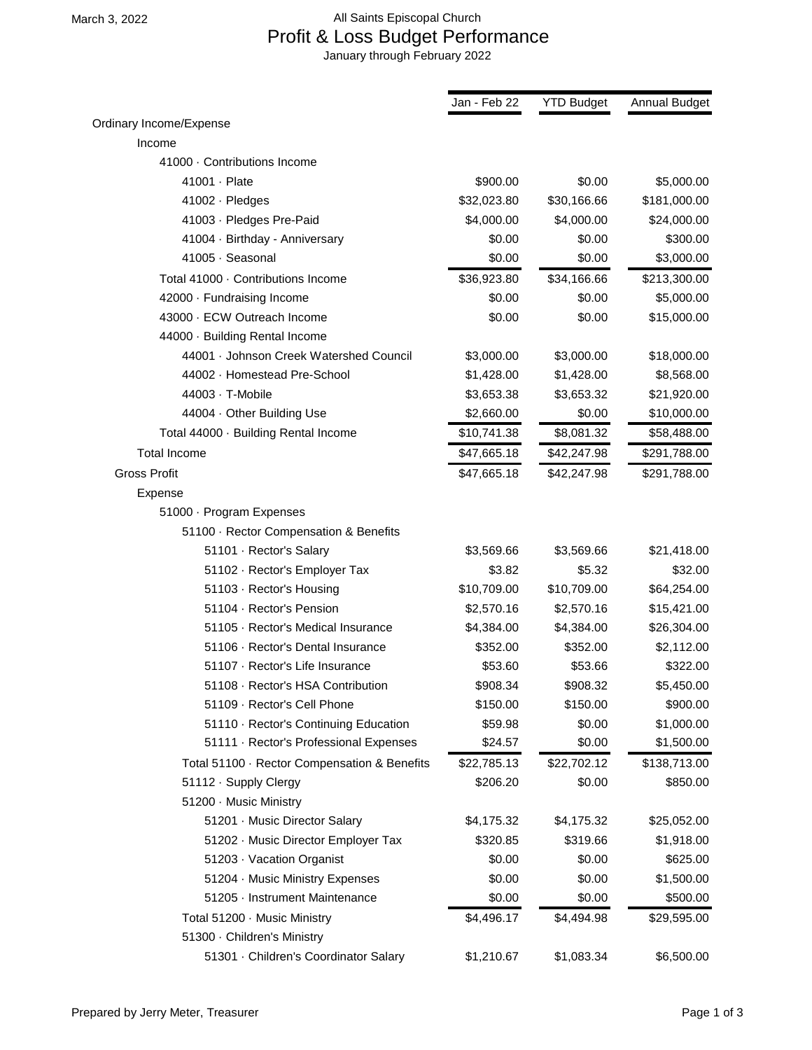## March 3, 2022 **All Saints Episcopal Church**  Profit & Loss Budget Performance January through February 2022

|                                              | Jan - Feb 22 | <b>YTD Budget</b> | <b>Annual Budget</b> |
|----------------------------------------------|--------------|-------------------|----------------------|
| Ordinary Income/Expense                      |              |                   |                      |
| Income                                       |              |                   |                      |
| 41000 · Contributions Income                 |              |                   |                      |
| 41001 · Plate                                | \$900.00     | \$0.00            | \$5,000.00           |
| 41002 · Pledges                              | \$32,023.80  | \$30,166.66       | \$181,000.00         |
| 41003 · Pledges Pre-Paid                     | \$4,000.00   | \$4,000.00        | \$24,000.00          |
| 41004 · Birthday - Anniversary               | \$0.00       | \$0.00            | \$300.00             |
| 41005 · Seasonal                             | \$0.00       | \$0.00            | \$3,000.00           |
| Total 41000 · Contributions Income           | \$36,923.80  | \$34,166.66       | \$213,300.00         |
| 42000 · Fundraising Income                   | \$0.00       | \$0.00            | \$5,000.00           |
| 43000 · ECW Outreach Income                  | \$0.00       | \$0.00            | \$15,000.00          |
| 44000 · Building Rental Income               |              |                   |                      |
| 44001 · Johnson Creek Watershed Council      | \$3,000.00   | \$3,000.00        | \$18,000.00          |
| 44002 · Homestead Pre-School                 | \$1,428.00   | \$1,428.00        | \$8,568.00           |
| 44003 · T-Mobile                             | \$3,653.38   | \$3,653.32        | \$21,920.00          |
| 44004 · Other Building Use                   | \$2,660.00   | \$0.00            | \$10,000.00          |
| Total 44000 · Building Rental Income         | \$10,741.38  | \$8,081.32        | \$58,488.00          |
| <b>Total Income</b>                          | \$47,665.18  | \$42,247.98       | \$291,788.00         |
| <b>Gross Profit</b>                          | \$47,665.18  | \$42,247.98       | \$291,788.00         |
| Expense                                      |              |                   |                      |
| 51000 · Program Expenses                     |              |                   |                      |
| 51100 · Rector Compensation & Benefits       |              |                   |                      |
| 51101 · Rector's Salary                      | \$3,569.66   | \$3,569.66        | \$21,418.00          |
| 51102 · Rector's Employer Tax                | \$3.82       | \$5.32            | \$32.00              |
| 51103 · Rector's Housing                     | \$10,709.00  | \$10,709.00       | \$64,254.00          |
| 51104 · Rector's Pension                     | \$2,570.16   | \$2,570.16        | \$15,421.00          |
| 51105 · Rector's Medical Insurance           | \$4,384.00   | \$4,384.00        | \$26,304.00          |
| 51106 · Rector's Dental Insurance            | \$352.00     | \$352.00          | \$2,112.00           |
| 51107 · Rector's Life Insurance              | \$53.60      | \$53.66           | \$322.00             |
| 51108 · Rector's HSA Contribution            | \$908.34     | \$908.32          | \$5,450.00           |
| 51109 · Rector's Cell Phone                  | \$150.00     | \$150.00          | \$900.00             |
| 51110 · Rector's Continuing Education        | \$59.98      | \$0.00            | \$1,000.00           |
| 51111 · Rector's Professional Expenses       | \$24.57      | \$0.00            | \$1,500.00           |
| Total 51100 · Rector Compensation & Benefits | \$22,785.13  | \$22,702.12       | \$138,713.00         |
| 51112 · Supply Clergy                        | \$206.20     | \$0.00            | \$850.00             |
| 51200 · Music Ministry                       |              |                   |                      |
| 51201 · Music Director Salary                | \$4,175.32   | \$4,175.32        | \$25,052.00          |
| 51202 · Music Director Employer Tax          | \$320.85     | \$319.66          | \$1,918.00           |
| 51203 · Vacation Organist                    | \$0.00       | \$0.00            | \$625.00             |
| 51204 · Music Ministry Expenses              | \$0.00       | \$0.00            | \$1,500.00           |
| 51205 · Instrument Maintenance               | \$0.00       | \$0.00            | \$500.00             |
| Total 51200 · Music Ministry                 | \$4,496.17   | \$4,494.98        | \$29,595.00          |
| 51300 · Children's Ministry                  |              |                   |                      |
| 51301 · Children's Coordinator Salary        | \$1,210.67   | \$1,083.34        | \$6,500.00           |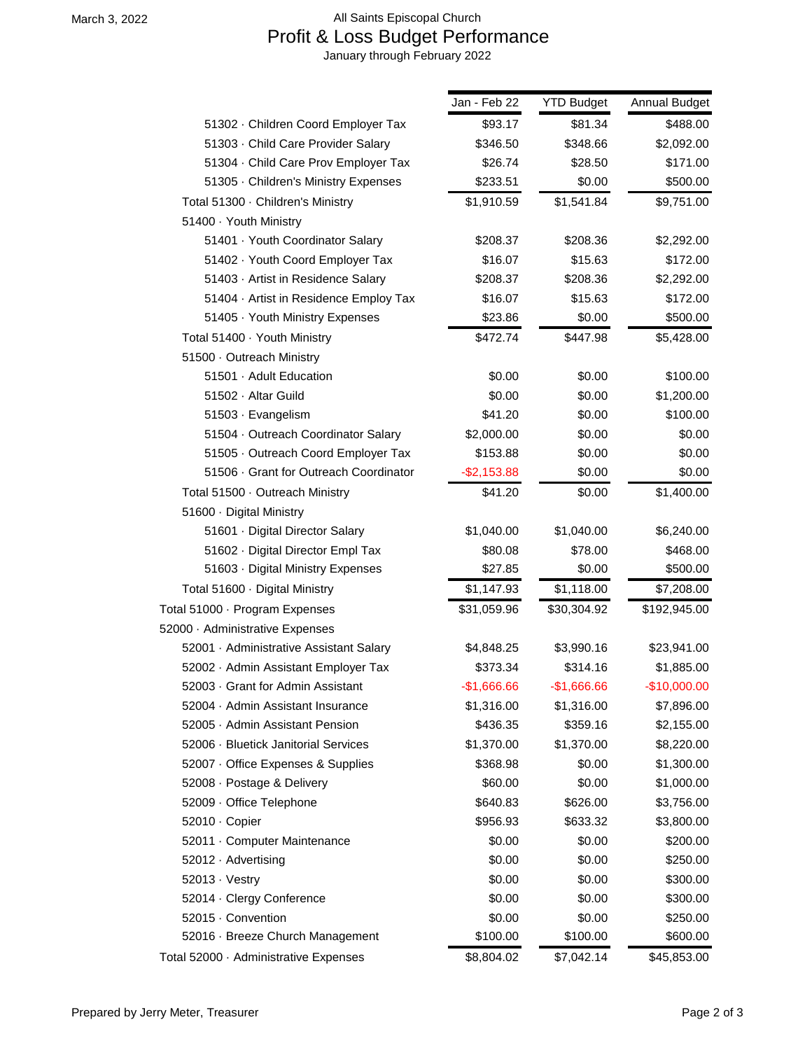## March 3, 2022 **All Saints Episcopal Church**  Profit & Loss Budget Performance January through February 2022

|                                         | Jan - Feb 22   | <b>YTD Budget</b> | Annual Budget |
|-----------------------------------------|----------------|-------------------|---------------|
| 51302 · Children Coord Employer Tax     | \$93.17        | \$81.34           | \$488.00      |
| 51303 · Child Care Provider Salary      | \$346.50       | \$348.66          | \$2,092.00    |
| 51304 · Child Care Prov Employer Tax    | \$26.74        | \$28.50           | \$171.00      |
| 51305 · Children's Ministry Expenses    | \$233.51       | \$0.00            | \$500.00      |
| Total 51300 · Children's Ministry       | \$1,910.59     | \$1,541.84        | \$9,751.00    |
| 51400 · Youth Ministry                  |                |                   |               |
| 51401 · Youth Coordinator Salary        | \$208.37       | \$208.36          | \$2,292.00    |
| 51402 · Youth Coord Employer Tax        | \$16.07        | \$15.63           | \$172.00      |
| 51403 · Artist in Residence Salary      | \$208.37       | \$208.36          | \$2,292.00    |
| 51404 · Artist in Residence Employ Tax  | \$16.07        | \$15.63           | \$172.00      |
| 51405 · Youth Ministry Expenses         | \$23.86        | \$0.00            | \$500.00      |
| Total 51400 · Youth Ministry            | \$472.74       | \$447.98          | \$5,428.00    |
| 51500 · Outreach Ministry               |                |                   |               |
| 51501 · Adult Education                 | \$0.00         | \$0.00            | \$100.00      |
| 51502 · Altar Guild                     | \$0.00         | \$0.00            | \$1,200.00    |
| 51503 · Evangelism                      | \$41.20        | \$0.00            | \$100.00      |
| 51504 · Outreach Coordinator Salary     | \$2,000.00     | \$0.00            | \$0.00        |
| 51505 · Outreach Coord Employer Tax     | \$153.88       | \$0.00            | \$0.00        |
| 51506 Grant for Outreach Coordinator    | $-$ \$2,153.88 | \$0.00            | \$0.00        |
| Total 51500 · Outreach Ministry         | \$41.20        | \$0.00            | \$1,400.00    |
| 51600 · Digital Ministry                |                |                   |               |
| 51601 · Digital Director Salary         | \$1,040.00     | \$1,040.00        | \$6,240.00    |
| 51602 · Digital Director Empl Tax       | \$80.08        | \$78.00           | \$468.00      |
| 51603 · Digital Ministry Expenses       | \$27.85        | \$0.00            | \$500.00      |
| Total 51600 · Digital Ministry          | \$1,147.93     | \$1,118.00        | \$7,208.00    |
| Total 51000 · Program Expenses          | \$31,059.96    | \$30,304.92       | \$192,945.00  |
| 52000 · Administrative Expenses         |                |                   |               |
| 52001 · Administrative Assistant Salary | \$4,848.25     | \$3,990.16        | \$23,941.00   |
| 52002 · Admin Assistant Employer Tax    | \$373.34       | \$314.16          | \$1,885.00    |
| 52003 Grant for Admin Assistant         | $-$1,666.66$   | $-$1,666.66$      | $-$10,000.00$ |
| 52004 · Admin Assistant Insurance       | \$1,316.00     | \$1,316.00        | \$7,896.00    |
| 52005 · Admin Assistant Pension         | \$436.35       | \$359.16          | \$2,155.00    |
| 52006 · Bluetick Janitorial Services    | \$1,370.00     | \$1,370.00        | \$8,220.00    |
| 52007 · Office Expenses & Supplies      | \$368.98       | \$0.00            | \$1,300.00    |
| 52008 · Postage & Delivery              | \$60.00        | \$0.00            | \$1,000.00    |
| 52009 · Office Telephone                | \$640.83       | \$626.00          | \$3,756.00    |
| 52010 · Copier                          | \$956.93       | \$633.32          | \$3,800.00    |
| 52011 · Computer Maintenance            | \$0.00         | \$0.00            | \$200.00      |
| 52012 · Advertising                     | \$0.00         | \$0.00            | \$250.00      |
| $52013 \cdot V$ estry                   | \$0.00         | \$0.00            | \$300.00      |
| 52014 · Clergy Conference               | \$0.00         | \$0.00            | \$300.00      |
| 52015 · Convention                      | \$0.00         | \$0.00            | \$250.00      |
| 52016 · Breeze Church Management        | \$100.00       | \$100.00          | \$600.00      |
| Total 52000 · Administrative Expenses   | \$8,804.02     | \$7,042.14        | \$45,853.00   |